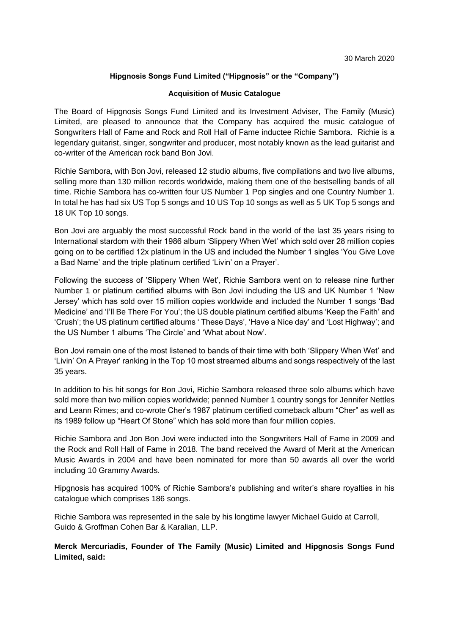# **Hipgnosis Songs Fund Limited ("Hipgnosis" or the "Company")**

#### **Acquisition of Music Catalogue**

The Board of Hipgnosis Songs Fund Limited and its Investment Adviser, The Family (Music) Limited, are pleased to announce that the Company has acquired the music catalogue of Songwriters Hall of Fame and Rock and Roll Hall of Fame inductee Richie Sambora. Richie is a legendary guitarist, singer, songwriter and producer, most notably known as the lead guitarist and co-writer of the American rock band Bon Jovi.

Richie Sambora, with Bon Jovi, released 12 studio albums, five compilations and two live albums, selling more than 130 million records worldwide, making them one of the bestselling bands of all time. Richie Sambora has co-written four US Number 1 Pop singles and one Country Number 1. In total he has had six US Top 5 songs and 10 US Top 10 songs as well as 5 UK Top 5 songs and 18 UK Top 10 songs.

Bon Jovi are arguably the most successful Rock band in the world of the last 35 years rising to International stardom with their 1986 album 'Slippery When Wet' which sold over 28 million copies going on to be certified 12x platinum in the US and included the Number 1 singles 'You Give Love a Bad Name' and the triple platinum certified 'Livin' on a Prayer'.

Following the success of 'Slippery When Wet', Richie Sambora went on to release nine further Number 1 or platinum certified albums with Bon Jovi including the US and UK Number 1 'New Jersey' which has sold over 15 million copies worldwide and included the Number 1 songs 'Bad Medicine' and 'I'll Be There For You'; the US double platinum certified albums 'Keep the Faith' and 'Crush'; the US platinum certified albums ' These Days', 'Have a Nice day' and 'Lost Highway'; and the US Number 1 albums 'The Circle' and 'What about Now'.

Bon Jovi remain one of the most listened to bands of their time with both 'Slippery When Wet' and 'Livin' On A Prayer' ranking in the Top 10 most streamed albums and songs respectively of the last 35 years.

In addition to his hit songs for Bon Jovi, Richie Sambora released three solo albums which have sold more than two million copies worldwide; penned Number 1 country songs for Jennifer Nettles and Leann Rimes; and co-wrote Cher's 1987 platinum certified comeback album "Cher" as well as its 1989 follow up "Heart Of Stone" which has sold more than four million copies.

Richie Sambora and Jon Bon Jovi were inducted into the Songwriters Hall of Fame in 2009 and the Rock and Roll Hall of Fame in 2018. The band received the Award of Merit at the American Music Awards in 2004 and have been nominated for more than 50 awards all over the world including 10 Grammy Awards.

Hipgnosis has acquired 100% of Richie Sambora's publishing and writer's share royalties in his catalogue which comprises 186 songs.

Richie Sambora was represented in the sale by his longtime lawyer Michael Guido at Carroll, Guido & Groffman Cohen Bar & Karalian, LLP.

**Merck Mercuriadis, Founder of The Family (Music) Limited and Hipgnosis Songs Fund Limited, said:**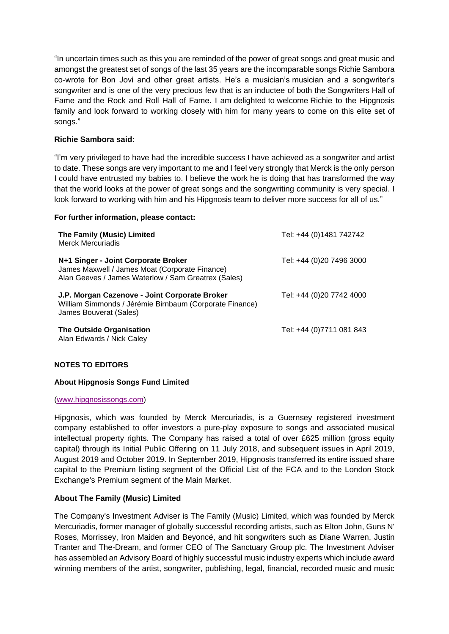"In uncertain times such as this you are reminded of the power of great songs and great music and amongst the greatest set of songs of the last 35 years are the incomparable songs Richie Sambora co-wrote for Bon Jovi and other great artists. He's a musician's musician and a songwriter's songwriter and is one of the very precious few that is an inductee of both the Songwriters Hall of Fame and the Rock and Roll Hall of Fame. I am delighted to welcome Richie to the Hipgnosis family and look forward to working closely with him for many years to come on this elite set of songs."

## **Richie Sambora said:**

"I'm very privileged to have had the incredible success I have achieved as a songwriter and artist to date. These songs are very important to me and I feel very strongly that Merck is the only person I could have entrusted my babies to. I believe the work he is doing that has transformed the way that the world looks at the power of great songs and the songwriting community is very special. I look forward to working with him and his Hipgnosis team to deliver more success for all of us."

#### **For further information, please contact:**

| The Family (Music) Limited<br><b>Merck Mercuriadis</b>                                                                                       | Tel: +44 (0)1481 742742  |
|----------------------------------------------------------------------------------------------------------------------------------------------|--------------------------|
| N+1 Singer - Joint Corporate Broker<br>James Maxwell / James Moat (Corporate Finance)<br>Alan Geeves / James Waterlow / Sam Greatrex (Sales) | Tel: +44 (0)20 7496 3000 |
| J.P. Morgan Cazenove - Joint Corporate Broker<br>William Simmonds / Jérémie Birnbaum (Corporate Finance)<br>James Bouverat (Sales)           | Tel: +44 (0)20 7742 4000 |
| The Outside Organisation<br>Alan Edwards / Nick Caley                                                                                        | Tel: +44 (0)7711 081 843 |

## **NOTES TO EDITORS**

## **About Hipgnosis Songs Fund Limited**

#### [\(www.hipgnosissongs.com\)](http://www.hipgnosissongs.com/)

Hipgnosis, which was founded by Merck Mercuriadis, is a Guernsey registered investment company established to offer investors a pure-play exposure to songs and associated musical intellectual property rights. The Company has raised a total of over £625 million (gross equity capital) through its Initial Public Offering on 11 July 2018, and subsequent issues in April 2019, August 2019 and October 2019. In September 2019, Hipgnosis transferred its entire issued share capital to the Premium listing segment of the Official List of the FCA and to the London Stock Exchange's Premium segment of the Main Market.

## **About The Family (Music) Limited**

The Company's Investment Adviser is The Family (Music) Limited, which was founded by Merck Mercuriadis, former manager of globally successful recording artists, such as Elton John, Guns N' Roses, Morrissey, Iron Maiden and Beyoncé, and hit songwriters such as Diane Warren, Justin Tranter and The-Dream, and former CEO of The Sanctuary Group plc. The Investment Adviser has assembled an Advisory Board of highly successful music industry experts which include award winning members of the artist, songwriter, publishing, legal, financial, recorded music and music